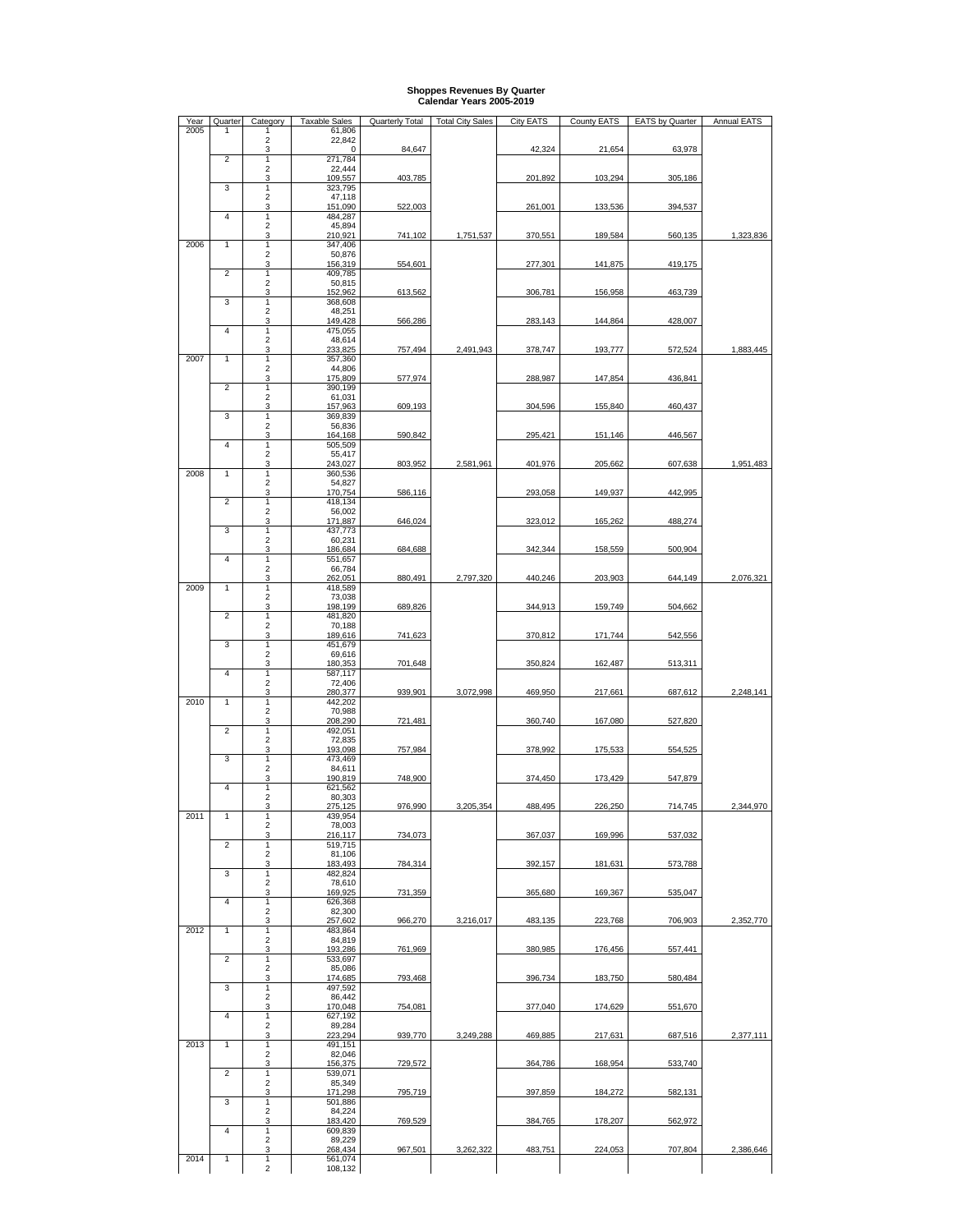## **Shoppes Revenues By Quarter Calendar Years 2005-2019**

| Year | Quarter        | Category                     | <b>Taxable Sales</b> | <b>Quarterly Total</b> | <b>Total City Sales</b> | <b>City EATS</b> | County EATS | <b>EATS by Quarter</b> | <b>Annual EATS</b> |
|------|----------------|------------------------------|----------------------|------------------------|-------------------------|------------------|-------------|------------------------|--------------------|
| 2005 | 1              | 1<br>$\overline{2}$          | 61,806<br>22,842     |                        |                         |                  |             |                        |                    |
|      |                | 3                            | 0                    | 84,647                 |                         | 42,324           | 21,654      | 63,978                 |                    |
|      | 2              | 1<br>$\sqrt{2}$              | 271,784<br>22,444    |                        |                         |                  |             |                        |                    |
|      | 3              | 3<br>1                       | 109,557<br>323,795   | 403,785                |                         | 201,892          | 103,294     | 305,186                |                    |
|      |                | $\overline{2}$               | 47,118               |                        |                         |                  |             |                        |                    |
|      | 4              | 3<br>1                       | 151,090              | 522,003                |                         | 261,001          | 133,536     | 394,537                |                    |
|      |                | $\sqrt{2}$                   | 484,287<br>45,894    |                        |                         |                  |             |                        |                    |
| 2006 | 1              | 3<br>1                       | 210,921<br>347,406   | 741,102                | 1,751,537               | 370,551          | 189,584     | 560,135                | 1,323,836          |
|      |                | $\overline{c}$               | 50,876               |                        |                         |                  |             |                        |                    |
|      | $\overline{2}$ | 3<br>1                       | 156,319<br>409,785   | 554,601                |                         | 277,301          | 141,875     | 419,175                |                    |
|      |                | $\mathbf 2$                  | 50,815               |                        |                         |                  |             |                        |                    |
|      | 3              | 3<br>1                       | 152,962<br>368,608   | 613,562                |                         | 306,781          | 156,958     | 463,739                |                    |
|      |                | $\overline{2}$               | 48,251               |                        |                         |                  |             |                        |                    |
|      | 4              | 3<br>1                       | 149,428<br>475,055   | 566,286                |                         | 283,143          | 144,864     | 428,007                |                    |
|      |                | $\sqrt{2}$                   | 48,614               |                        |                         |                  |             |                        |                    |
| 2007 | $\mathbf{1}$   | 3<br>1                       | 233,825<br>357,360   | 757,494                | 2,491,943               | 378,747          | 193,777     | 572,524                | 1,883,445          |
|      |                | $\sqrt{2}$                   | 44,806               |                        |                         |                  |             |                        |                    |
|      | 2              | 3<br>1                       | 175,809<br>390,199   | 577,974                |                         | 288,987          | 147,854     | 436,841                |                    |
|      |                | $\sqrt{2}$<br>3              | 61,031<br>157,963    | 609,193                |                         |                  | 155,840     |                        |                    |
|      | 3              | 1                            | 369,839              |                        |                         | 304,596          |             | 460,437                |                    |
|      |                | $\overline{2}$<br>3          | 56,836<br>164,168    | 590,842                |                         | 295,421          | 151,146     | 446,567                |                    |
|      | 4              | $\mathbf{1}$                 | 505,509              |                        |                         |                  |             |                        |                    |
|      |                | $\overline{2}$<br>3          | 55,417<br>243,027    | 803,952                | 2,581,961               | 401,976          | 205,662     | 607,638                | 1,951,483          |
| 2008 | $\mathbf{1}$   | $\mathbf{1}$                 | 360,536              |                        |                         |                  |             |                        |                    |
|      |                | $\sqrt{2}$<br>3              | 54,827<br>170,754    | 586,116                |                         | 293,058          | 149,937     | 442,995                |                    |
|      | $\overline{2}$ | $\mathbf{1}$                 | 418,134              |                        |                         |                  |             |                        |                    |
|      |                | $\sqrt{2}$<br>3              | 56,002<br>171,887    | 646,024                |                         | 323,012          | 165,262     | 488,274                |                    |
|      | 3              | 1                            | 437,773              |                        |                         |                  |             |                        |                    |
|      |                | $\overline{2}$<br>3          | 60,231<br>186,684    | 684,688                |                         | 342.344          | 158,559     | 500.904                |                    |
|      | 4              | $\mathbf{1}$                 | 551,657              |                        |                         |                  |             |                        |                    |
|      |                | $\overline{\mathbf{c}}$<br>3 | 66,784<br>262,051    | 880,491                | 2,797,320               | 440,246          | 203,903     | 644,149                | 2,076,321          |
| 2009 | $\mathbf{1}$   | $\mathbf{1}$                 | 418,589              |                        |                         |                  |             |                        |                    |
|      |                | $\overline{c}$<br>3          | 73,038<br>198,199    | 689,826                |                         | 344,913          | 159,749     | 504,662                |                    |
|      | 2              | $\mathbf{1}$<br>$\sqrt{2}$   | 481,820              |                        |                         |                  |             |                        |                    |
|      |                | 3                            | 70,188<br>189,616    | 741,623                |                         | 370,812          | 171,744     | 542,556                |                    |
|      | 3              | 1<br>$\overline{2}$          | 451,679<br>69,616    |                        |                         |                  |             |                        |                    |
|      |                | 3                            | 180,353              | 701,648                |                         | 350,824          | 162,487     | 513,311                |                    |
|      | 4              | 1<br>$\overline{\mathbf{c}}$ | 587,117<br>72,406    |                        |                         |                  |             |                        |                    |
|      |                | 3                            | 280,377              | 939,901                | 3,072,998               | 469,950          | 217,661     | 687,612                | 2,248,141          |
| 2010 | $\mathbf{1}$   | $\mathbf{1}$<br>$\sqrt{2}$   | 442,202<br>70,988    |                        |                         |                  |             |                        |                    |
|      |                | 3                            | 208,290              | 721,481                |                         | 360,740          | 167,080     | 527,820                |                    |
|      | 2              | 1<br>$\boldsymbol{2}$        | 492,051<br>72,835    |                        |                         |                  |             |                        |                    |
|      |                | 3                            | 193,098              | 757,984                |                         | 378,992          | 175,533     | 554,525                |                    |
|      | 3              | 1<br>$\overline{2}$          | 473,469<br>84.611    |                        |                         |                  |             |                        |                    |
|      |                | 3                            | 190,819              | 748,900                |                         | 374,450          | 173,429     | 547,879                |                    |
|      | 4              | 1<br>$\overline{2}$          | 621,562<br>80,303    |                        |                         |                  |             |                        |                    |
|      |                | 3                            | 275,125              | 976,990                | 3,205,354               | 488,495          | 226,250     | 714,745                | 2,344,970          |
| 2011 |                | 1<br>$\overline{\mathbf{c}}$ | 439,954<br>78,003    |                        |                         |                  |             |                        |                    |
|      | 2              | 3<br>1                       | 216,117<br>519,715   | 734,073                |                         | 367,037          | 169,996     | 537,032                |                    |
|      |                | $\overline{\mathbf{c}}$      | 81,106               |                        |                         |                  |             |                        |                    |
|      | 3              | 3<br>1                       | 183,493<br>482,824   | 784,314                |                         | 392,157          | 181,631     | 573,788                |                    |
|      |                | $\overline{2}$               | 78,610               |                        |                         |                  |             |                        |                    |
|      | 4              | 3<br>$\mathbf{1}$            | 169,925<br>626,368   | 731,359                |                         | 365,680          | 169,367     | 535,047                |                    |
|      |                | $\overline{2}$               | 82,300               |                        |                         |                  |             |                        |                    |
| 2012 | 1              | 3<br>1                       | 257,602<br>483,864   | 966,270                | 3,216,017               | 483,135          | 223,768     | 706,903                | 2,352,770          |
|      |                | $\overline{c}$               | 84,819               |                        |                         |                  |             |                        |                    |
|      | 2              | 3<br>$\mathbf{1}$            | 193,286<br>533,697   | 761,969                |                         | 380,985          | 176,456     | 557,441                |                    |
|      |                | $\sqrt{2}$                   | 85,086               |                        |                         |                  |             |                        |                    |
|      | 3              | 3<br>1                       | 174,685<br>497,592   | 793,468                |                         | 396,734          | 183,750     | 580,484                |                    |
|      |                | $\overline{2}$               | 86,442               |                        |                         |                  |             |                        |                    |
|      | 4              | 3<br>1                       | 170,048<br>627,192   | 754.081                |                         | 377,040          | 174,629     | 551,670                |                    |
|      |                | $\overline{2}$               | 89,284               |                        |                         |                  |             |                        |                    |
| 2013 | $\mathbf{1}$   | 3<br>1                       | 223,294<br>491,151   | 939,770                | 3,249,288               | 469,885          | 217,631     | 687,516                | 2,377,111          |
|      |                | $\overline{2}$               | 82,046               |                        |                         |                  |             |                        |                    |
|      | $\overline{2}$ | 3<br>$\mathbf{1}$            | 156,375<br>539,071   | 729,572                |                         | 364,786          | 168,954     | 533,740                |                    |
|      |                | $\overline{2}$               | 85,349               |                        |                         |                  |             |                        |                    |
|      | 3              | 3<br>1                       | 171,298<br>501,886   | 795,719                |                         | 397,859          | 184,272     | 582,131                |                    |
|      |                | $\overline{c}$               | 84,224               |                        |                         |                  |             |                        |                    |
|      | 4              | 3<br>1                       | 183,420<br>609,839   | 769,529                |                         | 384,765          | 178,207     | 562,972                |                    |
|      |                | $\overline{2}$               | 89,229               |                        |                         |                  |             |                        |                    |
| 2014 | 1              | 3<br>1                       | 268,434<br>561,074   | 967,501                | 3,262,322               | 483,751          | 224,053     | 707,804                | 2,386,646          |
|      |                | $\overline{2}$               | 108,132              |                        |                         |                  |             |                        |                    |